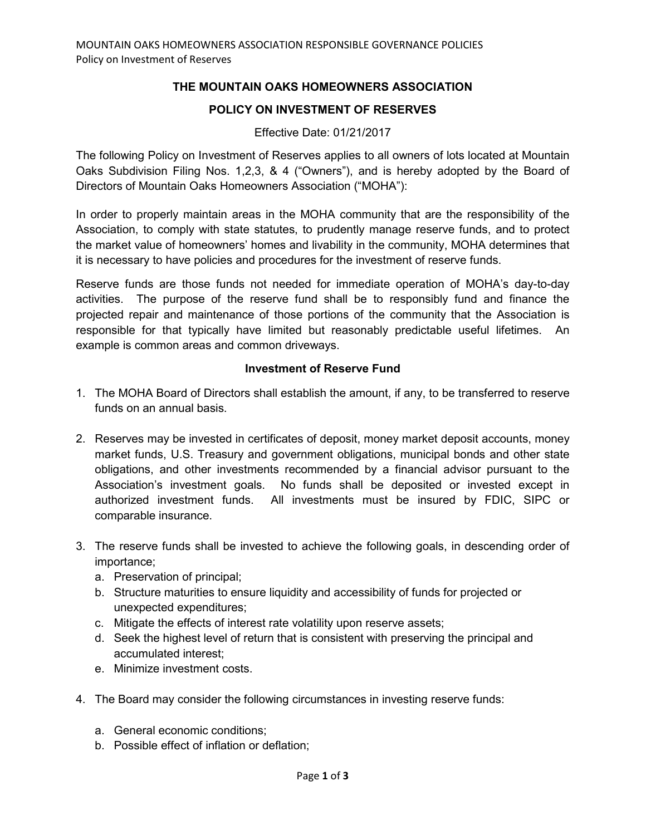## **THE MOUNTAIN OAKS HOMEOWNERS ASSOCIATION**

## **POLICY ON INVESTMENT OF RESERVES**

## Effective Date: 01/21/2017

The following Policy on Investment of Reserves applies to all owners of lots located at Mountain Oaks Subdivision Filing Nos. 1,2,3, & 4 ("Owners"), and is hereby adopted by the Board of Directors of Mountain Oaks Homeowners Association ("MOHA"):

In order to properly maintain areas in the MOHA community that are the responsibility of the Association, to comply with state statutes, to prudently manage reserve funds, and to protect the market value of homeowners' homes and livability in the community, MOHA determines that it is necessary to have policies and procedures for the investment of reserve funds.

Reserve funds are those funds not needed for immediate operation of MOHA's day-to-day activities. The purpose of the reserve fund shall be to responsibly fund and finance the projected repair and maintenance of those portions of the community that the Association is responsible for that typically have limited but reasonably predictable useful lifetimes. An example is common areas and common driveways.

## **Investment of Reserve Fund**

- 1. The MOHA Board of Directors shall establish the amount, if any, to be transferred to reserve funds on an annual basis.
- 2. Reserves may be invested in certificates of deposit, money market deposit accounts, money market funds, U.S. Treasury and government obligations, municipal bonds and other state obligations, and other investments recommended by a financial advisor pursuant to the Association's investment goals. No funds shall be deposited or invested except in authorized investment funds. All investments must be insured by FDIC, SIPC or comparable insurance.
- 3. The reserve funds shall be invested to achieve the following goals, in descending order of importance;
	- a. Preservation of principal;
	- b. Structure maturities to ensure liquidity and accessibility of funds for projected or unexpected expenditures;
	- c. Mitigate the effects of interest rate volatility upon reserve assets;
	- d. Seek the highest level of return that is consistent with preserving the principal and accumulated interest;
	- e. Minimize investment costs.
- 4. The Board may consider the following circumstances in investing reserve funds:
	- a. General economic conditions;
	- b. Possible effect of inflation or deflation;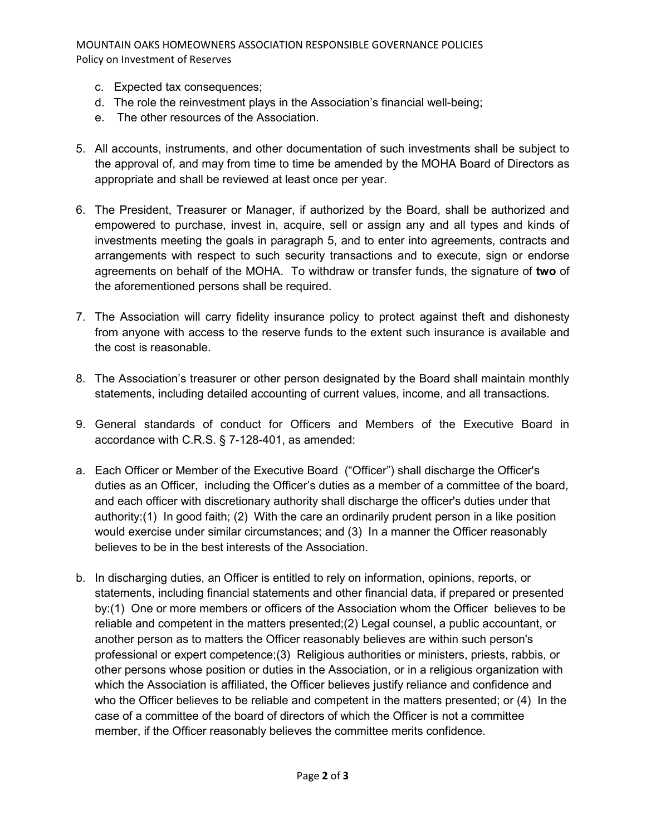MOUNTAIN OAKS HOMEOWNERS ASSOCIATION RESPONSIBLE GOVERNANCE POLICIES Policy on Investment of Reserves

- c. Expected tax consequences;
- d. The role the reinvestment plays in the Association's financial well-being;
- e. The other resources of the Association.
- 5. All accounts, instruments, and other documentation of such investments shall be subject to the approval of, and may from time to time be amended by the MOHA Board of Directors as appropriate and shall be reviewed at least once per year.
- 6. The President, Treasurer or Manager, if authorized by the Board, shall be authorized and empowered to purchase, invest in, acquire, sell or assign any and all types and kinds of investments meeting the goals in paragraph 5, and to enter into agreements, contracts and arrangements with respect to such security transactions and to execute, sign or endorse agreements on behalf of the MOHA. To withdraw or transfer funds, the signature of **two** of the aforementioned persons shall be required.
- 7. The Association will carry fidelity insurance policy to protect against theft and dishonesty from anyone with access to the reserve funds to the extent such insurance is available and the cost is reasonable.
- 8. The Association's treasurer or other person designated by the Board shall maintain monthly statements, including detailed accounting of current values, income, and all transactions.
- 9. General standards of conduct for Officers and Members of the Executive Board in accordance with C.R.S. § 7-128-401, as amended:
- a. Each Officer or Member of the Executive Board ("Officer") shall discharge the Officer's duties as an Officer, including the Officer's duties as a member of a committee of the board, and each officer with discretionary authority shall discharge the officer's duties under that authority:(1) In good faith; (2) With the care an ordinarily prudent person in a like position would exercise under similar circumstances; and (3) In a manner the Officer reasonably believes to be in the best interests of the Association.
- b. In discharging duties, an Officer is entitled to rely on information, opinions, reports, or statements, including financial statements and other financial data, if prepared or presented by:(1) One or more members or officers of the Association whom the Officer believes to be reliable and competent in the matters presented;(2) Legal counsel, a public accountant, or another person as to matters the Officer reasonably believes are within such person's professional or expert competence;(3) Religious authorities or ministers, priests, rabbis, or other persons whose position or duties in the Association, or in a religious organization with which the Association is affiliated, the Officer believes justify reliance and confidence and who the Officer believes to be reliable and competent in the matters presented; or (4) In the case of a committee of the board of directors of which the Officer is not a committee member, if the Officer reasonably believes the committee merits confidence.